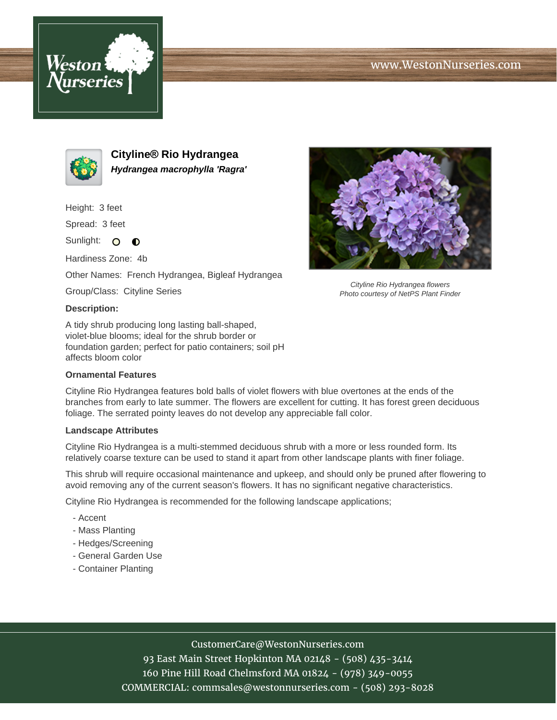





**Cityline® Rio Hydrangea Hydrangea macrophylla 'Ragra'**

Height: 3 feet

Spread: 3 feet

Sunlight: O  $\bullet$ 

Hardiness Zone: 4b

Other Names: French Hydrangea, Bigleaf Hydrangea

Group/Class: Cityline Series

## **Description:**

A tidy shrub producing long lasting ball-shaped, violet-blue blooms; ideal for the shrub border or foundation garden; perfect for patio containers; soil pH affects bloom color

## **Ornamental Features**

Cityline Rio Hydrangea features bold balls of violet flowers with blue overtones at the ends of the branches from early to late summer. The flowers are excellent for cutting. It has forest green deciduous foliage. The serrated pointy leaves do not develop any appreciable fall color.

## **Landscape Attributes**

Cityline Rio Hydrangea is a multi-stemmed deciduous shrub with a more or less rounded form. Its relatively coarse texture can be used to stand it apart from other landscape plants with finer foliage.

This shrub will require occasional maintenance and upkeep, and should only be pruned after flowering to avoid removing any of the current season's flowers. It has no significant negative characteristics.

Cityline Rio Hydrangea is recommended for the following landscape applications;

- Accent
- Mass Planting
- Hedges/Screening
- General Garden Use
- Container Planting



93 East Main Street Hopkinton MA 02148 - (508) 435-3414 160 Pine Hill Road Chelmsford MA 01824 - (978) 349-0055 COMMERCIAL: commsales@westonnurseries.com - (508) 293-8028



Cityline Rio Hydrangea flowers Photo courtesy of NetPS Plant Finder